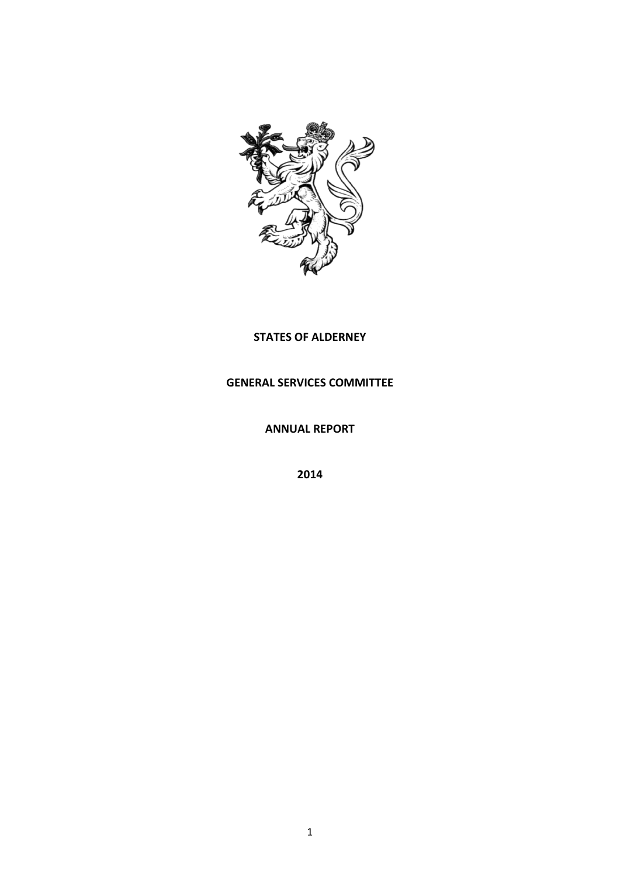

# **STATES OF ALDERNEY**

# **GENERAL SERVICES COMMITTEE**

**ANNUAL REPORT**

**2014**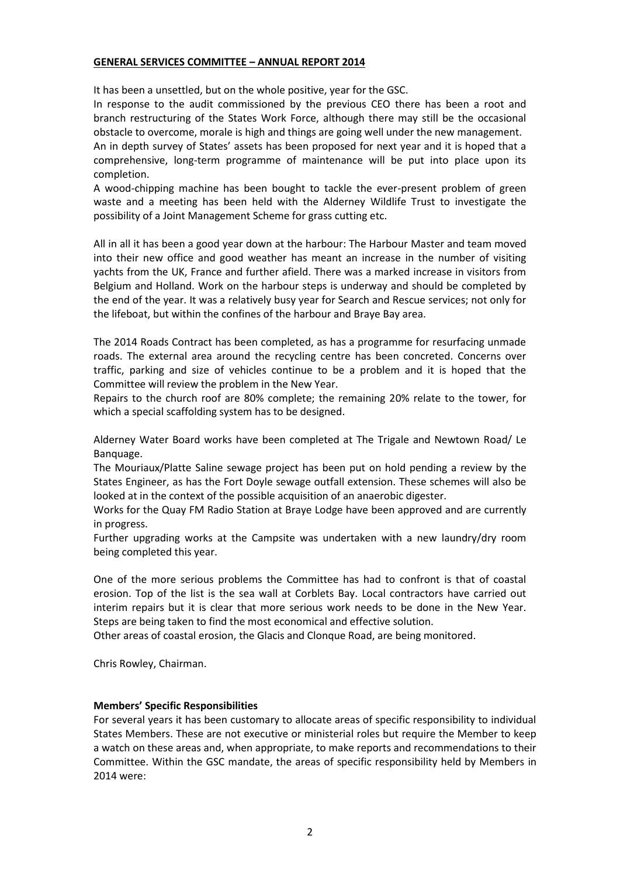## **GENERAL SERVICES COMMITTEE – ANNUAL REPORT 2014**

It has been a unsettled, but on the whole positive, year for the GSC.

In response to the audit commissioned by the previous CEO there has been a root and branch restructuring of the States Work Force, although there may still be the occasional obstacle to overcome, morale is high and things are going well under the new management.

An in depth survey of States' assets has been proposed for next year and it is hoped that a comprehensive, long-term programme of maintenance will be put into place upon its completion.

A wood-chipping machine has been bought to tackle the ever-present problem of green waste and a meeting has been held with the Alderney Wildlife Trust to investigate the possibility of a Joint Management Scheme for grass cutting etc.

All in all it has been a good year down at the harbour: The Harbour Master and team moved into their new office and good weather has meant an increase in the number of visiting yachts from the UK, France and further afield. There was a marked increase in visitors from Belgium and Holland. Work on the harbour steps is underway and should be completed by the end of the year. It was a relatively busy year for Search and Rescue services; not only for the lifeboat, but within the confines of the harbour and Braye Bay area.

The 2014 Roads Contract has been completed, as has a programme for resurfacing unmade roads. The external area around the recycling centre has been concreted. Concerns over traffic, parking and size of vehicles continue to be a problem and it is hoped that the Committee will review the problem in the New Year.

Repairs to the church roof are 80% complete; the remaining 20% relate to the tower, for which a special scaffolding system has to be designed.

Alderney Water Board works have been completed at The Trigale and Newtown Road/ Le Banquage.

The Mouriaux/Platte Saline sewage project has been put on hold pending a review by the States Engineer, as has the Fort Doyle sewage outfall extension. These schemes will also be looked at in the context of the possible acquisition of an anaerobic digester.

Works for the Quay FM Radio Station at Braye Lodge have been approved and are currently in progress.

Further upgrading works at the Campsite was undertaken with a new laundry/dry room being completed this year.

One of the more serious problems the Committee has had to confront is that of coastal erosion. Top of the list is the sea wall at Corblets Bay. Local contractors have carried out interim repairs but it is clear that more serious work needs to be done in the New Year. Steps are being taken to find the most economical and effective solution.

Other areas of coastal erosion, the Glacis and Clonque Road, are being monitored.

Chris Rowley, Chairman.

### **Members' Specific Responsibilities**

For several years it has been customary to allocate areas of specific responsibility to individual States Members. These are not executive or ministerial roles but require the Member to keep a watch on these areas and, when appropriate, to make reports and recommendations to their Committee. Within the GSC mandate, the areas of specific responsibility held by Members in 2014 were: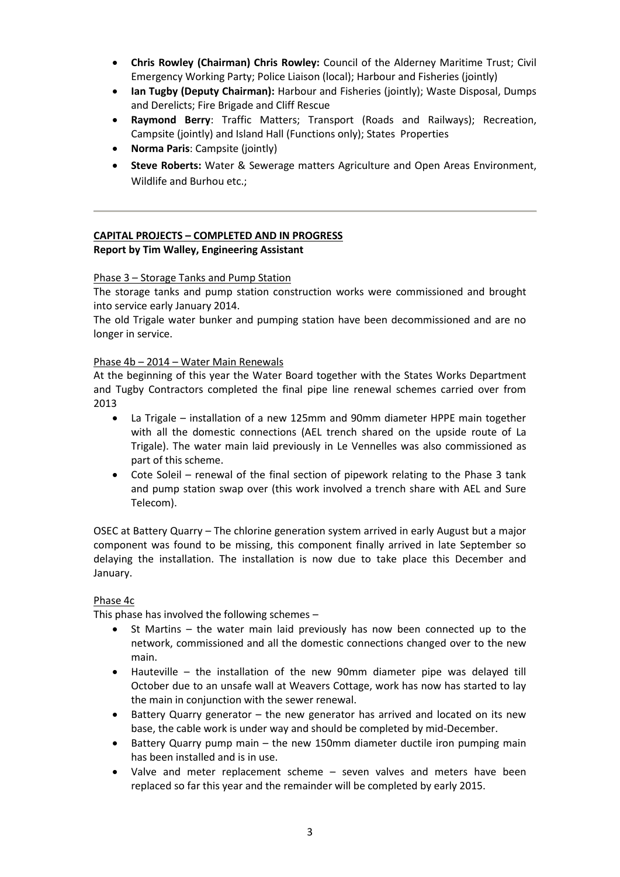- **Chris Rowley (Chairman) Chris Rowley:** Council of the Alderney Maritime Trust; Civil Emergency Working Party; Police Liaison (local); Harbour and Fisheries (jointly)
- **Ian Tugby (Deputy Chairman):** Harbour and Fisheries (jointly); Waste Disposal, Dumps and Derelicts; Fire Brigade and Cliff Rescue
- **Raymond Berry**: Traffic Matters; Transport (Roads and Railways); Recreation, Campsite (jointly) and Island Hall (Functions only); States Properties
- **Norma Paris**: Campsite (jointly)
- **Steve Roberts:** Water & Sewerage matters Agriculture and Open Areas Environment, Wildlife and Burhou etc.;

# **CAPITAL PROJECTS – COMPLETED AND IN PROGRESS Report by Tim Walley, Engineering Assistant**

## Phase 3 – Storage Tanks and Pump Station

The storage tanks and pump station construction works were commissioned and brought into service early January 2014.

The old Trigale water bunker and pumping station have been decommissioned and are no longer in service.

### Phase 4b – 2014 – Water Main Renewals

At the beginning of this year the Water Board together with the States Works Department and Tugby Contractors completed the final pipe line renewal schemes carried over from 2013

- La Trigale installation of a new 125mm and 90mm diameter HPPE main together with all the domestic connections (AEL trench shared on the upside route of La Trigale). The water main laid previously in Le Vennelles was also commissioned as part of this scheme.
- Cote Soleil renewal of the final section of pipework relating to the Phase 3 tank and pump station swap over (this work involved a trench share with AEL and Sure Telecom).

OSEC at Battery Quarry – The chlorine generation system arrived in early August but a major component was found to be missing, this component finally arrived in late September so delaying the installation. The installation is now due to take place this December and January.

## Phase 4c

This phase has involved the following schemes –

- St Martins the water main laid previously has now been connected up to the network, commissioned and all the domestic connections changed over to the new main.
- Hauteville the installation of the new 90mm diameter pipe was delayed till October due to an unsafe wall at Weavers Cottage, work has now has started to lay the main in conjunction with the sewer renewal.
- Battery Quarry generator the new generator has arrived and located on its new base, the cable work is under way and should be completed by mid-December.
- Battery Quarry pump main the new 150mm diameter ductile iron pumping main has been installed and is in use.
- Valve and meter replacement scheme seven valves and meters have been replaced so far this year and the remainder will be completed by early 2015.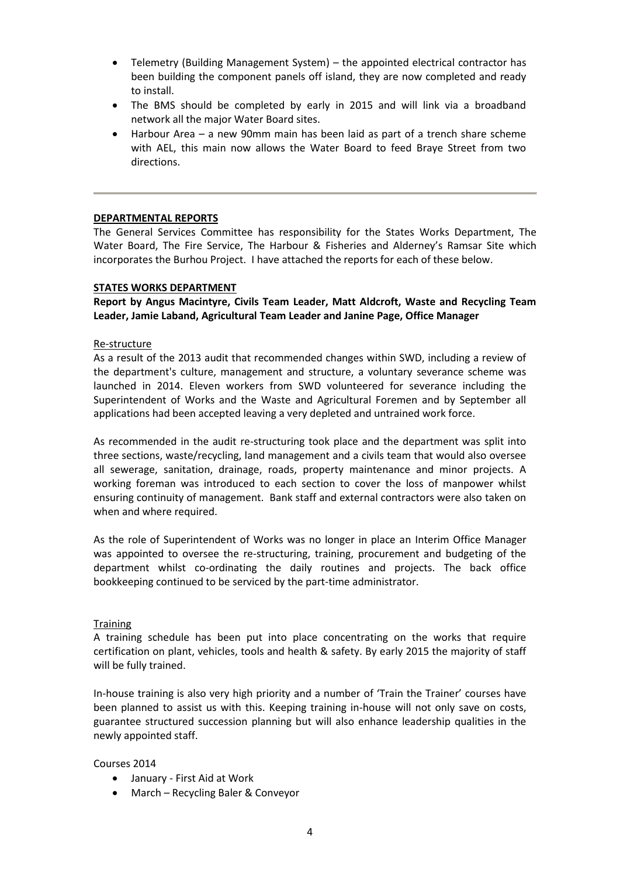- Telemetry (Building Management System) the appointed electrical contractor has been building the component panels off island, they are now completed and ready to install.
- The BMS should be completed by early in 2015 and will link via a broadband network all the major Water Board sites.
- Harbour Area a new 90mm main has been laid as part of a trench share scheme with AEL, this main now allows the Water Board to feed Braye Street from two directions.

### **DEPARTMENTAL REPORTS**

The General Services Committee has responsibility for the States Works Department, The Water Board, The Fire Service, The Harbour & Fisheries and Alderney's Ramsar Site which incorporates the Burhou Project. I have attached the reports for each of these below.

### **STATES WORKS DEPARTMENT**

**Report by Angus Macintyre, Civils Team Leader, Matt Aldcroft, Waste and Recycling Team Leader, Jamie Laband, Agricultural Team Leader and Janine Page, Office Manager**

### Re-structure

As a result of the 2013 audit that recommended changes within SWD, including a review of the department's culture, management and structure, a voluntary severance scheme was launched in 2014. Eleven workers from SWD volunteered for severance including the Superintendent of Works and the Waste and Agricultural Foremen and by September all applications had been accepted leaving a very depleted and untrained work force.

As recommended in the audit re-structuring took place and the department was split into three sections, waste/recycling, land management and a civils team that would also oversee all sewerage, sanitation, drainage, roads, property maintenance and minor projects. A working foreman was introduced to each section to cover the loss of manpower whilst ensuring continuity of management. Bank staff and external contractors were also taken on when and where required.

As the role of Superintendent of Works was no longer in place an Interim Office Manager was appointed to oversee the re-structuring, training, procurement and budgeting of the department whilst co-ordinating the daily routines and projects. The back office bookkeeping continued to be serviced by the part-time administrator.

### **Training**

A training schedule has been put into place concentrating on the works that require certification on plant, vehicles, tools and health & safety. By early 2015 the majority of staff will be fully trained.

In-house training is also very high priority and a number of 'Train the Trainer' courses have been planned to assist us with this. Keeping training in-house will not only save on costs, guarantee structured succession planning but will also enhance leadership qualities in the newly appointed staff.

Courses 2014

- January First Aid at Work
- March Recycling Baler & Conveyor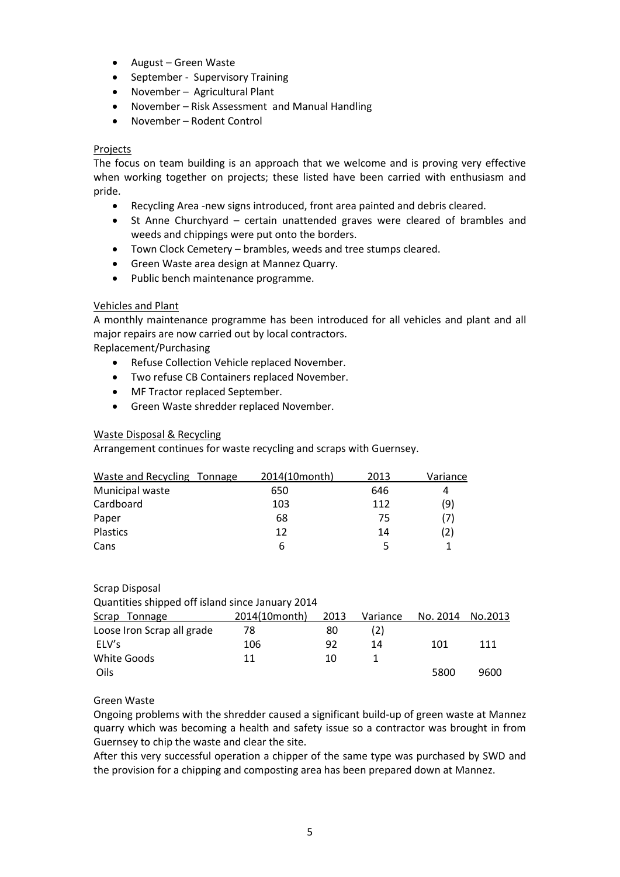- August Green Waste
- September Supervisory Training
- November Agricultural Plant
- November Risk Assessment and Manual Handling
- November Rodent Control

# Projects

The focus on team building is an approach that we welcome and is proving very effective when working together on projects; these listed have been carried with enthusiasm and pride.

- Recycling Area -new signs introduced, front area painted and debris cleared.
- St Anne Churchyard certain unattended graves were cleared of brambles and weeds and chippings were put onto the borders.
- Town Clock Cemetery brambles, weeds and tree stumps cleared.
- Green Waste area design at Mannez Quarry.
- Public bench maintenance programme.

# Vehicles and Plant

A monthly maintenance programme has been introduced for all vehicles and plant and all major repairs are now carried out by local contractors.

Replacement/Purchasing

- Refuse Collection Vehicle replaced November.
- Two refuse CB Containers replaced November.
- MF Tractor replaced September.
- Green Waste shredder replaced November.

# Waste Disposal & Recycling

Arrangement continues for waste recycling and scraps with Guernsey.

| Waste and Recycling Tonnage | 2014(10month) | 2013 | Variance |
|-----------------------------|---------------|------|----------|
| Municipal waste             | 650           | 646  | 4        |
| Cardboard                   | 103           | 112  | (9)      |
| Paper                       | 68            | 75   | (7)      |
| Plastics                    | 12            | 14   | (2)      |
| Cans                        | 6             |      |          |

# Scrap Disposal

| Quantities shipped off island since January 2014 |               |      |          |          |         |
|--------------------------------------------------|---------------|------|----------|----------|---------|
| Scrap<br>Tonnage                                 | 2014(10month) | 2013 | Variance | No. 2014 | No.2013 |
| Loose Iron Scrap all grade                       | 78            | 80   | (2)      |          |         |
| ELV's                                            | 106           | 92   | 14       | 101      | 111     |
| White Goods                                      | 11            | 10   |          |          |         |
| Oils                                             |               |      |          | 5800     | 9600    |

# Green Waste

Ongoing problems with the shredder caused a significant build-up of green waste at Mannez quarry which was becoming a health and safety issue so a contractor was brought in from Guernsey to chip the waste and clear the site.

After this very successful operation a chipper of the same type was purchased by SWD and the provision for a chipping and composting area has been prepared down at Mannez.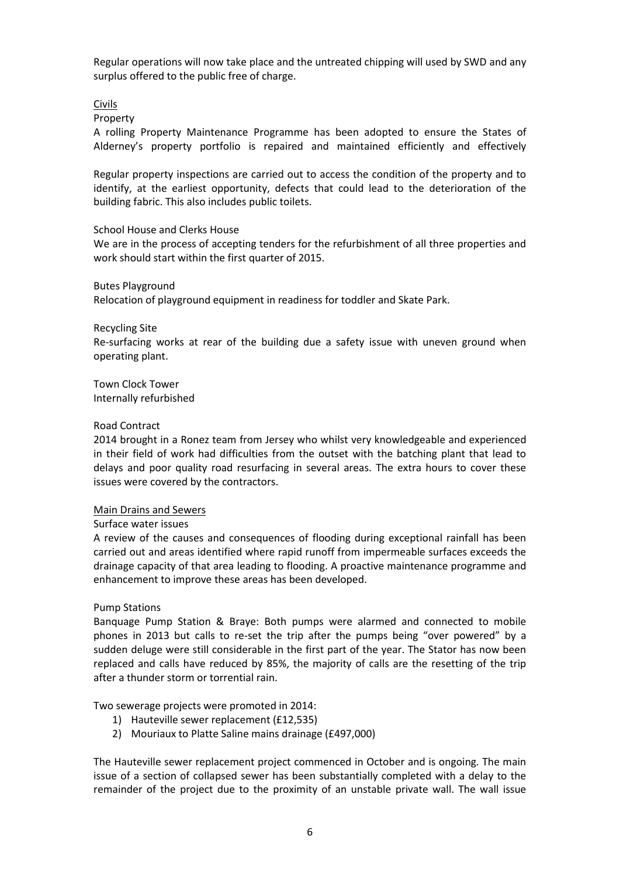Regular operations will now take place and the untreated chipping will used by SWD and any surplus offered to the public free of charge.

### Civils

Property

A rolling Property Maintenance Programme has been adopted to ensure the States of Alderney's property portfolio is repaired and maintained efficiently and effectively

Regular property inspections are carried out to access the condition of the property and to identify, at the earliest opportunity, defects that could lead to the deterioration of the building fabric. This also includes public toilets.

### School House and Clerks House

We are in the process of accepting tenders for the refurbishment of all three properties and work should start within the first quarter of 2015.

### Butes Playground

Relocation of playground equipment in readiness for toddler and Skate Park.

### Recycling Site

Re-surfacing works at rear of the building due a safety issue with uneven ground when operating plant.

Town Clock Tower Internally refurbished

### Road Contract

2014 brought in a Ronez team from Jersey who whilst very knowledgeable and experienced in their field of work had difficulties from the outset with the batching plant that lead to delays and poor quality road resurfacing in several areas. The extra hours to cover these issues were covered by the contractors.

### Main Drains and Sewers

Surface water issues

A review of the causes and consequences of flooding during exceptional rainfall has been carried out and areas identified where rapid runoff from impermeable surfaces exceeds the drainage capacity of that area leading to flooding. A proactive maintenance programme and enhancement to improve these areas has been developed.

### Pump Stations

Banquage Pump Station & Braye: Both pumps were alarmed and connected to mobile phones in 2013 but calls to re-set the trip after the pumps being "over powered" by a sudden deluge were still considerable in the first part of the year. The Stator has now been replaced and calls have reduced by 85%, the majority of calls are the resetting of the trip after a thunder storm or torrential rain.

Two sewerage projects were promoted in 2014:

- 1) Hauteville sewer replacement (£12,535)
- 2) Mouriaux to Platte Saline mains drainage (£497,000)

The Hauteville sewer replacement project commenced in October and is ongoing. The main issue of a section of collapsed sewer has been substantially completed with a delay to the remainder of the project due to the proximity of an unstable private wall. The wall issue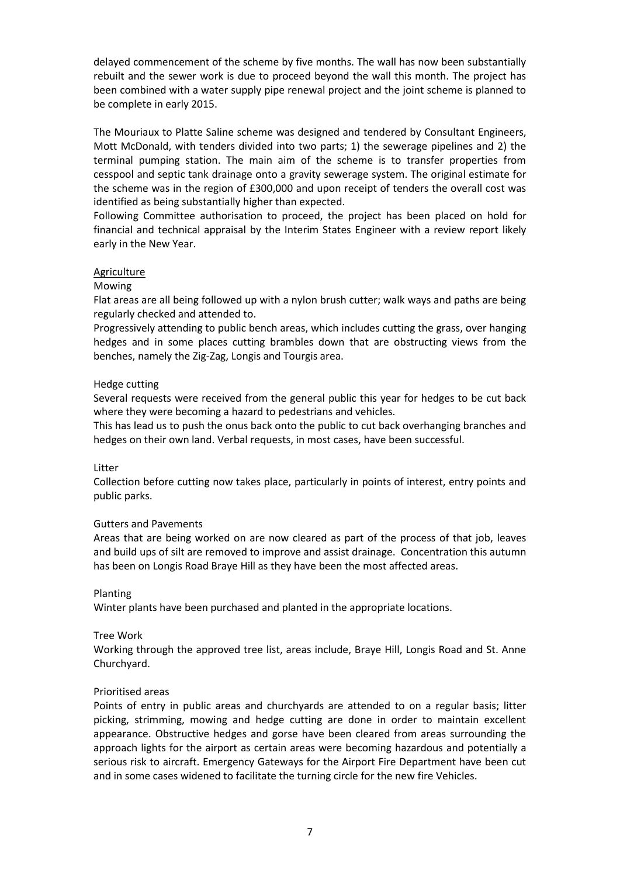delayed commencement of the scheme by five months. The wall has now been substantially rebuilt and the sewer work is due to proceed beyond the wall this month. The project has been combined with a water supply pipe renewal project and the joint scheme is planned to be complete in early 2015.

The Mouriaux to Platte Saline scheme was designed and tendered by Consultant Engineers, Mott McDonald, with tenders divided into two parts; 1) the sewerage pipelines and 2) the terminal pumping station. The main aim of the scheme is to transfer properties from cesspool and septic tank drainage onto a gravity sewerage system. The original estimate for the scheme was in the region of £300,000 and upon receipt of tenders the overall cost was identified as being substantially higher than expected.

Following Committee authorisation to proceed, the project has been placed on hold for financial and technical appraisal by the Interim States Engineer with a review report likely early in the New Year.

## Agriculture

### Mowing

Flat areas are all being followed up with a nylon brush cutter; walk ways and paths are being regularly checked and attended to.

Progressively attending to public bench areas, which includes cutting the grass, over hanging hedges and in some places cutting brambles down that are obstructing views from the benches, namely the Zig-Zag, Longis and Tourgis area.

### Hedge cutting

Several requests were received from the general public this year for hedges to be cut back where they were becoming a hazard to pedestrians and vehicles.

This has lead us to push the onus back onto the public to cut back overhanging branches and hedges on their own land. Verbal requests, in most cases, have been successful.

### Litter

Collection before cutting now takes place, particularly in points of interest, entry points and public parks.

## Gutters and Pavements

Areas that are being worked on are now cleared as part of the process of that job, leaves and build ups of silt are removed to improve and assist drainage. Concentration this autumn has been on Longis Road Braye Hill as they have been the most affected areas.

### Planting

Winter plants have been purchased and planted in the appropriate locations.

### Tree Work

Working through the approved tree list, areas include, Braye Hill, Longis Road and St. Anne Churchyard.

### Prioritised areas

Points of entry in public areas and churchyards are attended to on a regular basis; litter picking, strimming, mowing and hedge cutting are done in order to maintain excellent appearance. Obstructive hedges and gorse have been cleared from areas surrounding the approach lights for the airport as certain areas were becoming hazardous and potentially a serious risk to aircraft. Emergency Gateways for the Airport Fire Department have been cut and in some cases widened to facilitate the turning circle for the new fire Vehicles.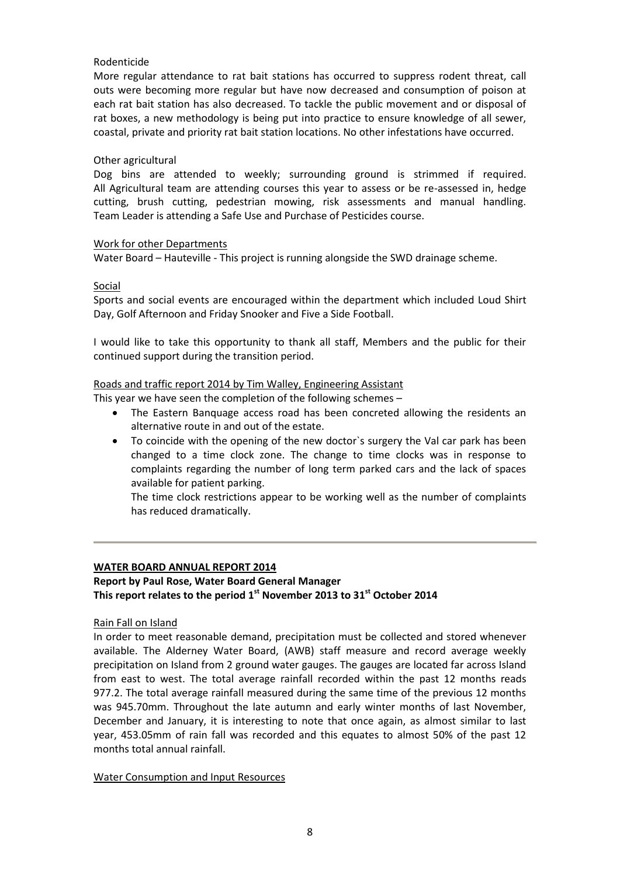# Rodenticide

More regular attendance to rat bait stations has occurred to suppress rodent threat, call outs were becoming more regular but have now decreased and consumption of poison at each rat bait station has also decreased. To tackle the public movement and or disposal of rat boxes, a new methodology is being put into practice to ensure knowledge of all sewer, coastal, private and priority rat bait station locations. No other infestations have occurred.

## Other agricultural

Dog bins are attended to weekly; surrounding ground is strimmed if required. All Agricultural team are attending courses this year to assess or be re-assessed in, hedge cutting, brush cutting, pedestrian mowing, risk assessments and manual handling. Team Leader is attending a Safe Use and Purchase of Pesticides course.

## Work for other Departments

Water Board – Hauteville - This project is running alongside the SWD drainage scheme.

# Social

Sports and social events are encouraged within the department which included Loud Shirt Day, Golf Afternoon and Friday Snooker and Five a Side Football.

I would like to take this opportunity to thank all staff, Members and the public for their continued support during the transition period.

# Roads and traffic report 2014 by Tim Walley, Engineering Assistant

This year we have seen the completion of the following schemes –

- The Eastern Banquage access road has been concreted allowing the residents an alternative route in and out of the estate.
- To coincide with the opening of the new doctor`s surgery the Val car park has been changed to a time clock zone. The change to time clocks was in response to complaints regarding the number of long term parked cars and the lack of spaces available for patient parking.

The time clock restrictions appear to be working well as the number of complaints has reduced dramatically.

# **WATER BOARD ANNUAL REPORT 2014**

# **Report by Paul Rose, Water Board General Manager This report relates to the period 1 st November 2013 to 31st October 2014**

## Rain Fall on Island

In order to meet reasonable demand, precipitation must be collected and stored whenever available. The Alderney Water Board, (AWB) staff measure and record average weekly precipitation on Island from 2 ground water gauges. The gauges are located far across Island from east to west. The total average rainfall recorded within the past 12 months reads 977.2. The total average rainfall measured during the same time of the previous 12 months was 945.70mm. Throughout the late autumn and early winter months of last November, December and January, it is interesting to note that once again, as almost similar to last year, 453.05mm of rain fall was recorded and this equates to almost 50% of the past 12 months total annual rainfall.

Water Consumption and Input Resources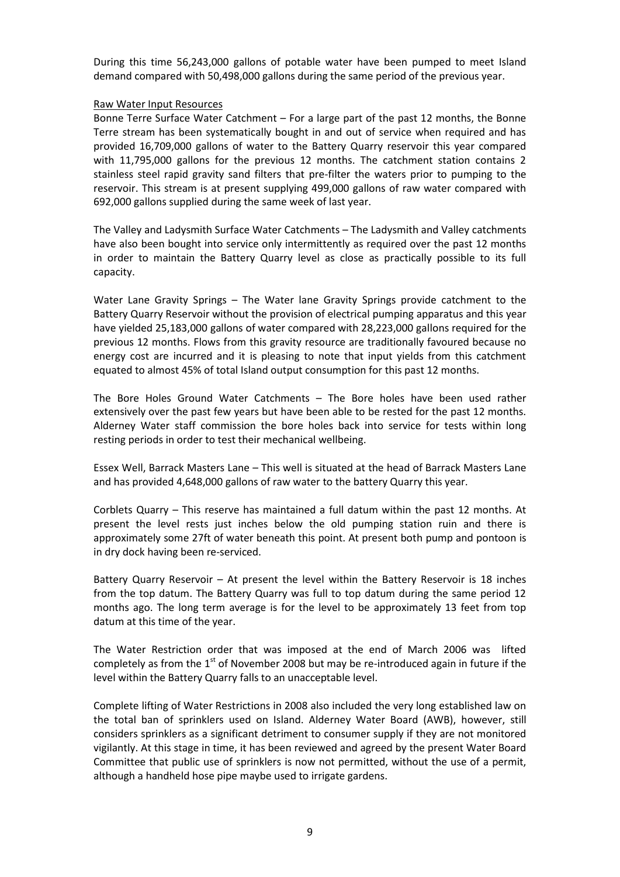During this time 56,243,000 gallons of potable water have been pumped to meet Island demand compared with 50,498,000 gallons during the same period of the previous year.

### Raw Water Input Resources

Bonne Terre Surface Water Catchment – For a large part of the past 12 months, the Bonne Terre stream has been systematically bought in and out of service when required and has provided 16,709,000 gallons of water to the Battery Quarry reservoir this year compared with 11,795,000 gallons for the previous 12 months. The catchment station contains 2 stainless steel rapid gravity sand filters that pre-filter the waters prior to pumping to the reservoir. This stream is at present supplying 499,000 gallons of raw water compared with 692,000 gallons supplied during the same week of last year.

The Valley and Ladysmith Surface Water Catchments – The Ladysmith and Valley catchments have also been bought into service only intermittently as required over the past 12 months in order to maintain the Battery Quarry level as close as practically possible to its full capacity.

Water Lane Gravity Springs – The Water lane Gravity Springs provide catchment to the Battery Quarry Reservoir without the provision of electrical pumping apparatus and this year have yielded 25,183,000 gallons of water compared with 28,223,000 gallons required for the previous 12 months. Flows from this gravity resource are traditionally favoured because no energy cost are incurred and it is pleasing to note that input yields from this catchment equated to almost 45% of total Island output consumption for this past 12 months.

The Bore Holes Ground Water Catchments – The Bore holes have been used rather extensively over the past few years but have been able to be rested for the past 12 months. Alderney Water staff commission the bore holes back into service for tests within long resting periods in order to test their mechanical wellbeing.

Essex Well, Barrack Masters Lane – This well is situated at the head of Barrack Masters Lane and has provided 4,648,000 gallons of raw water to the battery Quarry this year.

Corblets Quarry – This reserve has maintained a full datum within the past 12 months. At present the level rests just inches below the old pumping station ruin and there is approximately some 27ft of water beneath this point. At present both pump and pontoon is in dry dock having been re-serviced.

Battery Quarry Reservoir – At present the level within the Battery Reservoir is 18 inches from the top datum. The Battery Quarry was full to top datum during the same period 12 months ago. The long term average is for the level to be approximately 13 feet from top datum at this time of the year.

The Water Restriction order that was imposed at the end of March 2006 was lifted completely as from the  $1<sup>st</sup>$  of November 2008 but may be re-introduced again in future if the level within the Battery Quarry falls to an unacceptable level.

Complete lifting of Water Restrictions in 2008 also included the very long established law on the total ban of sprinklers used on Island. Alderney Water Board (AWB), however, still considers sprinklers as a significant detriment to consumer supply if they are not monitored vigilantly. At this stage in time, it has been reviewed and agreed by the present Water Board Committee that public use of sprinklers is now not permitted, without the use of a permit, although a handheld hose pipe maybe used to irrigate gardens.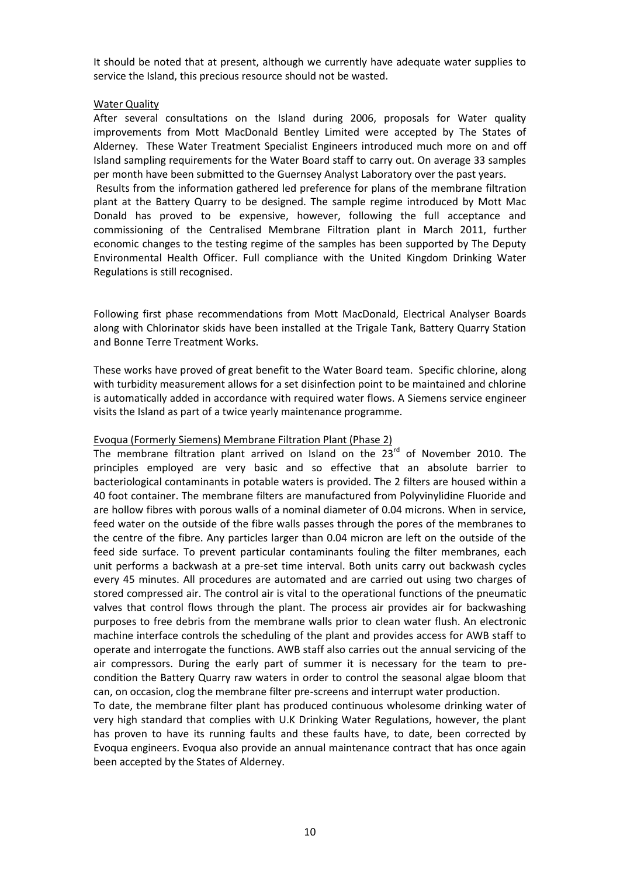It should be noted that at present, although we currently have adequate water supplies to service the Island, this precious resource should not be wasted.

## Water Quality

After several consultations on the Island during 2006, proposals for Water quality improvements from Mott MacDonald Bentley Limited were accepted by The States of Alderney. These Water Treatment Specialist Engineers introduced much more on and off Island sampling requirements for the Water Board staff to carry out. On average 33 samples per month have been submitted to the Guernsey Analyst Laboratory over the past years. Results from the information gathered led preference for plans of the membrane filtration plant at the Battery Quarry to be designed. The sample regime introduced by Mott Mac Donald has proved to be expensive, however, following the full acceptance and commissioning of the Centralised Membrane Filtration plant in March 2011, further economic changes to the testing regime of the samples has been supported by The Deputy Environmental Health Officer. Full compliance with the United Kingdom Drinking Water Regulations is still recognised.

Following first phase recommendations from Mott MacDonald, Electrical Analyser Boards along with Chlorinator skids have been installed at the Trigale Tank, Battery Quarry Station and Bonne Terre Treatment Works.

These works have proved of great benefit to the Water Board team. Specific chlorine, along with turbidity measurement allows for a set disinfection point to be maintained and chlorine is automatically added in accordance with required water flows. A Siemens service engineer visits the Island as part of a twice yearly maintenance programme.

# Evoqua (Formerly Siemens) Membrane Filtration Plant (Phase 2)

The membrane filtration plant arrived on Island on the  $23^{rd}$  of November 2010. The principles employed are very basic and so effective that an absolute barrier to bacteriological contaminants in potable waters is provided. The 2 filters are housed within a 40 foot container. The membrane filters are manufactured from Polyvinylidine Fluoride and are hollow fibres with porous walls of a nominal diameter of 0.04 microns. When in service, feed water on the outside of the fibre walls passes through the pores of the membranes to the centre of the fibre. Any particles larger than 0.04 micron are left on the outside of the feed side surface. To prevent particular contaminants fouling the filter membranes, each unit performs a backwash at a pre-set time interval. Both units carry out backwash cycles every 45 minutes. All procedures are automated and are carried out using two charges of stored compressed air. The control air is vital to the operational functions of the pneumatic valves that control flows through the plant. The process air provides air for backwashing purposes to free debris from the membrane walls prior to clean water flush. An electronic machine interface controls the scheduling of the plant and provides access for AWB staff to operate and interrogate the functions. AWB staff also carries out the annual servicing of the air compressors. During the early part of summer it is necessary for the team to precondition the Battery Quarry raw waters in order to control the seasonal algae bloom that can, on occasion, clog the membrane filter pre-screens and interrupt water production.

To date, the membrane filter plant has produced continuous wholesome drinking water of very high standard that complies with U.K Drinking Water Regulations, however, the plant has proven to have its running faults and these faults have, to date, been corrected by Evoqua engineers. Evoqua also provide an annual maintenance contract that has once again been accepted by the States of Alderney.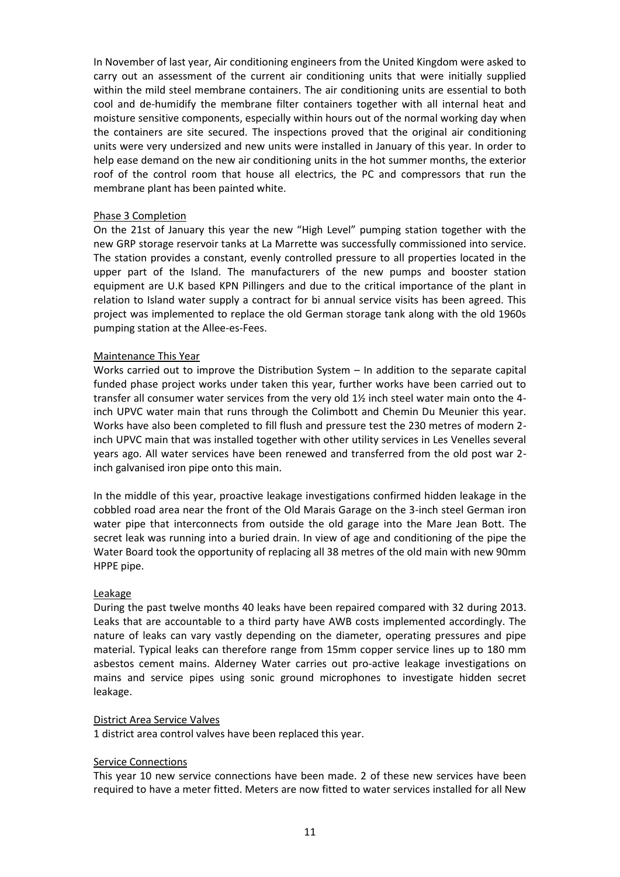In November of last year, Air conditioning engineers from the United Kingdom were asked to carry out an assessment of the current air conditioning units that were initially supplied within the mild steel membrane containers. The air conditioning units are essential to both cool and de-humidify the membrane filter containers together with all internal heat and moisture sensitive components, especially within hours out of the normal working day when the containers are site secured. The inspections proved that the original air conditioning units were very undersized and new units were installed in January of this year. In order to help ease demand on the new air conditioning units in the hot summer months, the exterior roof of the control room that house all electrics, the PC and compressors that run the membrane plant has been painted white.

### Phase 3 Completion

On the 21st of January this year the new "High Level" pumping station together with the new GRP storage reservoir tanks at La Marrette was successfully commissioned into service. The station provides a constant, evenly controlled pressure to all properties located in the upper part of the Island. The manufacturers of the new pumps and booster station equipment are U.K based KPN Pillingers and due to the critical importance of the plant in relation to Island water supply a contract for bi annual service visits has been agreed. This project was implemented to replace the old German storage tank along with the old 1960s pumping station at the Allee-es-Fees.

### Maintenance This Year

Works carried out to improve the Distribution System – In addition to the separate capital funded phase project works under taken this year, further works have been carried out to transfer all consumer water services from the very old 1½ inch steel water main onto the 4 inch UPVC water main that runs through the Colimbott and Chemin Du Meunier this year. Works have also been completed to fill flush and pressure test the 230 metres of modern 2 inch UPVC main that was installed together with other utility services in Les Venelles several years ago. All water services have been renewed and transferred from the old post war 2 inch galvanised iron pipe onto this main.

In the middle of this year, proactive leakage investigations confirmed hidden leakage in the cobbled road area near the front of the Old Marais Garage on the 3-inch steel German iron water pipe that interconnects from outside the old garage into the Mare Jean Bott. The secret leak was running into a buried drain. In view of age and conditioning of the pipe the Water Board took the opportunity of replacing all 38 metres of the old main with new 90mm HPPE pipe.

### Leakage

During the past twelve months 40 leaks have been repaired compared with 32 during 2013. Leaks that are accountable to a third party have AWB costs implemented accordingly. The nature of leaks can vary vastly depending on the diameter, operating pressures and pipe material. Typical leaks can therefore range from 15mm copper service lines up to 180 mm asbestos cement mains. Alderney Water carries out pro-active leakage investigations on mains and service pipes using sonic ground microphones to investigate hidden secret leakage.

### District Area Service Valves

1 district area control valves have been replaced this year.

## Service Connections

This year 10 new service connections have been made. 2 of these new services have been required to have a meter fitted. Meters are now fitted to water services installed for all New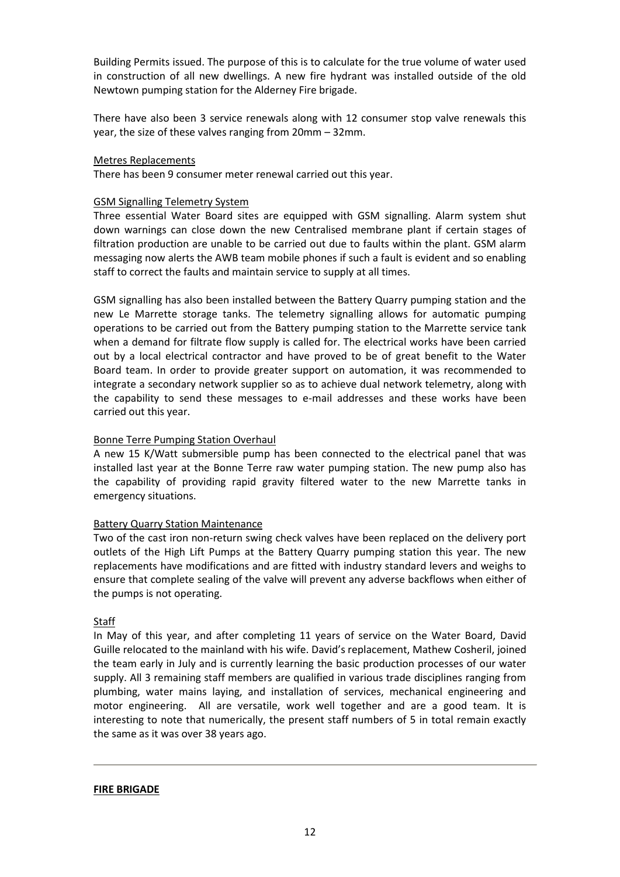Building Permits issued. The purpose of this is to calculate for the true volume of water used in construction of all new dwellings. A new fire hydrant was installed outside of the old Newtown pumping station for the Alderney Fire brigade.

There have also been 3 service renewals along with 12 consumer stop valve renewals this year, the size of these valves ranging from 20mm – 32mm.

### Metres Replacements

There has been 9 consumer meter renewal carried out this year.

## GSM Signalling Telemetry System

Three essential Water Board sites are equipped with GSM signalling. Alarm system shut down warnings can close down the new Centralised membrane plant if certain stages of filtration production are unable to be carried out due to faults within the plant. GSM alarm messaging now alerts the AWB team mobile phones if such a fault is evident and so enabling staff to correct the faults and maintain service to supply at all times.

GSM signalling has also been installed between the Battery Quarry pumping station and the new Le Marrette storage tanks. The telemetry signalling allows for automatic pumping operations to be carried out from the Battery pumping station to the Marrette service tank when a demand for filtrate flow supply is called for. The electrical works have been carried out by a local electrical contractor and have proved to be of great benefit to the Water Board team. In order to provide greater support on automation, it was recommended to integrate a secondary network supplier so as to achieve dual network telemetry, along with the capability to send these messages to e-mail addresses and these works have been carried out this year.

## Bonne Terre Pumping Station Overhaul

A new 15 K/Watt submersible pump has been connected to the electrical panel that was installed last year at the Bonne Terre raw water pumping station. The new pump also has the capability of providing rapid gravity filtered water to the new Marrette tanks in emergency situations.

## Battery Quarry Station Maintenance

Two of the cast iron non-return swing check valves have been replaced on the delivery port outlets of the High Lift Pumps at the Battery Quarry pumping station this year. The new replacements have modifications and are fitted with industry standard levers and weighs to ensure that complete sealing of the valve will prevent any adverse backflows when either of the pumps is not operating.

# Staff

In May of this year, and after completing 11 years of service on the Water Board, David Guille relocated to the mainland with his wife. David's replacement, Mathew Cosheril, joined the team early in July and is currently learning the basic production processes of our water supply. All 3 remaining staff members are qualified in various trade disciplines ranging from plumbing, water mains laying, and installation of services, mechanical engineering and motor engineering. All are versatile, work well together and are a good team. It is interesting to note that numerically, the present staff numbers of 5 in total remain exactly the same as it was over 38 years ago.

### **FIRE BRIGADE**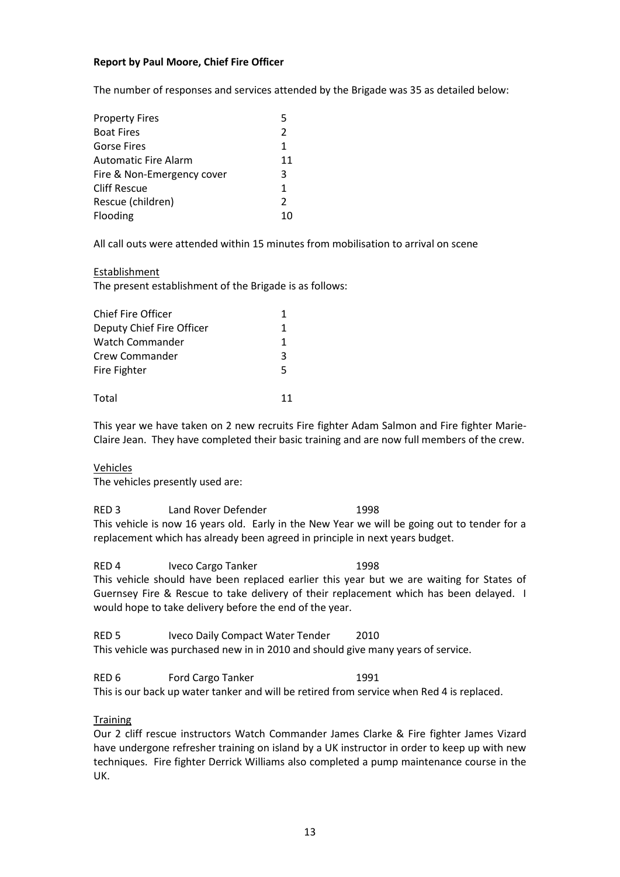## **Report by Paul Moore, Chief Fire Officer**

The number of responses and services attended by the Brigade was 35 as detailed below:

| 5             |
|---------------|
| $\mathcal{P}$ |
| 1             |
| 11            |
| 3             |
| 1             |
| $\mathcal{P}$ |
|               |
|               |

All call outs were attended within 15 minutes from mobilisation to arrival on scene

### Establishment

The present establishment of the Brigade is as follows:

| <b>Chief Fire Officer</b> |   |
|---------------------------|---|
| Deputy Chief Fire Officer | 1 |
| Watch Commander           | 1 |
| Crew Commander            | ર |
| Fire Fighter              | 5 |
| Total                     |   |

This year we have taken on 2 new recruits Fire fighter Adam Salmon and Fire fighter Marie-Claire Jean. They have completed their basic training and are now full members of the crew.

### Vehicles

The vehicles presently used are:

RED 3 Land Rover Defender 1998 This vehicle is now 16 years old. Early in the New Year we will be going out to tender for a replacement which has already been agreed in principle in next years budget.

RED 4 Iveco Cargo Tanker 1998 This vehicle should have been replaced earlier this year but we are waiting for States of Guernsey Fire & Rescue to take delivery of their replacement which has been delayed. I would hope to take delivery before the end of the year.

RED 5 Iveco Daily Compact Water Tender 2010 This vehicle was purchased new in in 2010 and should give many years of service.

RED 6 Ford Cargo Tanker 1991 This is our back up water tanker and will be retired from service when Red 4 is replaced.

## **Training**

Our 2 cliff rescue instructors Watch Commander James Clarke & Fire fighter James Vizard have undergone refresher training on island by a UK instructor in order to keep up with new techniques. Fire fighter Derrick Williams also completed a pump maintenance course in the UK.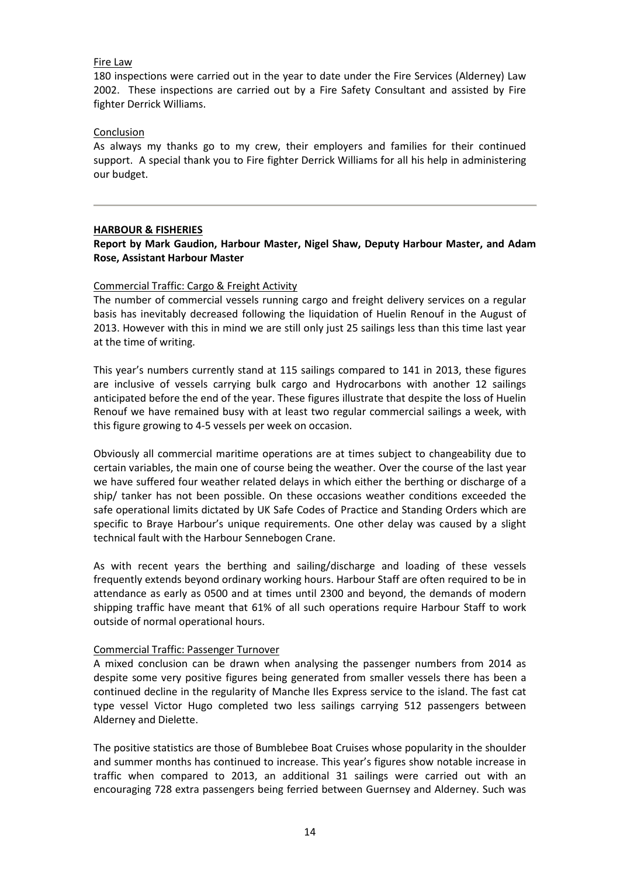### Fire Law

180 inspections were carried out in the year to date under the Fire Services (Alderney) Law 2002. These inspections are carried out by a Fire Safety Consultant and assisted by Fire fighter Derrick Williams.

### Conclusion

As always my thanks go to my crew, their employers and families for their continued support. A special thank you to Fire fighter Derrick Williams for all his help in administering our budget.

## **HARBOUR & FISHERIES**

# **Report by Mark Gaudion, Harbour Master, Nigel Shaw, Deputy Harbour Master, and Adam Rose, Assistant Harbour Master**

## Commercial Traffic: Cargo & Freight Activity

The number of commercial vessels running cargo and freight delivery services on a regular basis has inevitably decreased following the liquidation of Huelin Renouf in the August of 2013. However with this in mind we are still only just 25 sailings less than this time last year at the time of writing.

This year's numbers currently stand at 115 sailings compared to 141 in 2013, these figures are inclusive of vessels carrying bulk cargo and Hydrocarbons with another 12 sailings anticipated before the end of the year. These figures illustrate that despite the loss of Huelin Renouf we have remained busy with at least two regular commercial sailings a week, with this figure growing to 4-5 vessels per week on occasion.

Obviously all commercial maritime operations are at times subject to changeability due to certain variables, the main one of course being the weather. Over the course of the last year we have suffered four weather related delays in which either the berthing or discharge of a ship/ tanker has not been possible. On these occasions weather conditions exceeded the safe operational limits dictated by UK Safe Codes of Practice and Standing Orders which are specific to Braye Harbour's unique requirements. One other delay was caused by a slight technical fault with the Harbour Sennebogen Crane.

As with recent years the berthing and sailing/discharge and loading of these vessels frequently extends beyond ordinary working hours. Harbour Staff are often required to be in attendance as early as 0500 and at times until 2300 and beyond, the demands of modern shipping traffic have meant that 61% of all such operations require Harbour Staff to work outside of normal operational hours.

## Commercial Traffic: Passenger Turnover

A mixed conclusion can be drawn when analysing the passenger numbers from 2014 as despite some very positive figures being generated from smaller vessels there has been a continued decline in the regularity of Manche Iles Express service to the island. The fast cat type vessel Victor Hugo completed two less sailings carrying 512 passengers between Alderney and Dielette.

The positive statistics are those of Bumblebee Boat Cruises whose popularity in the shoulder and summer months has continued to increase. This year's figures show notable increase in traffic when compared to 2013, an additional 31 sailings were carried out with an encouraging 728 extra passengers being ferried between Guernsey and Alderney. Such was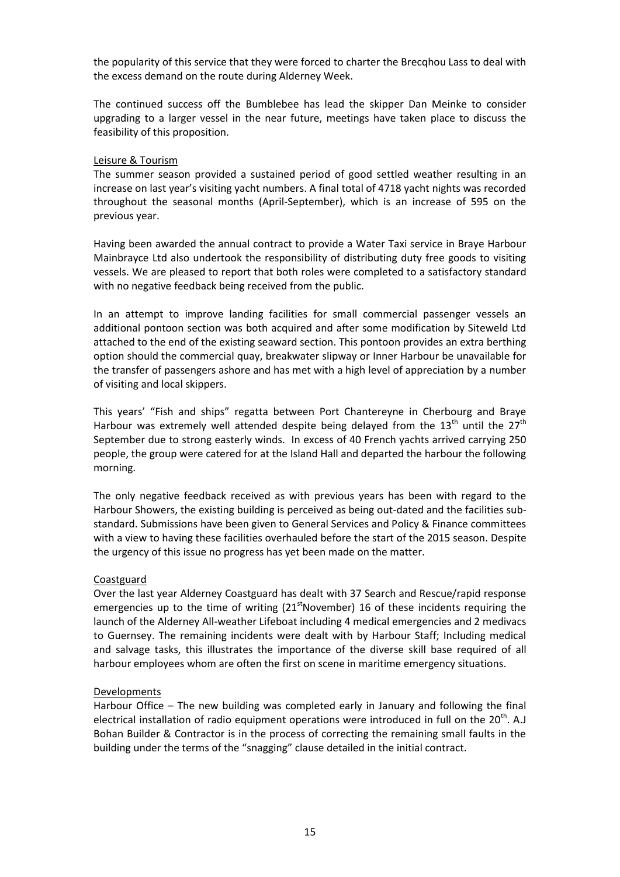the popularity of this service that they were forced to charter the Brecqhou Lass to deal with the excess demand on the route during Alderney Week.

The continued success off the Bumblebee has lead the skipper Dan Meinke to consider upgrading to a larger vessel in the near future, meetings have taken place to discuss the feasibility of this proposition.

### Leisure & Tourism

The summer season provided a sustained period of good settled weather resulting in an increase on last year's visiting yacht numbers. A final total of 4718 yacht nights was recorded throughout the seasonal months (April-September), which is an increase of 595 on the previous year.

Having been awarded the annual contract to provide a Water Taxi service in Braye Harbour Mainbrayce Ltd also undertook the responsibility of distributing duty free goods to visiting vessels. We are pleased to report that both roles were completed to a satisfactory standard with no negative feedback being received from the public.

In an attempt to improve landing facilities for small commercial passenger vessels an additional pontoon section was both acquired and after some modification by Siteweld Ltd attached to the end of the existing seaward section. This pontoon provides an extra berthing option should the commercial quay, breakwater slipway or Inner Harbour be unavailable for the transfer of passengers ashore and has met with a high level of appreciation by a number of visiting and local skippers.

This years' "Fish and ships" regatta between Port Chantereyne in Cherbourg and Braye Harbour was extremely well attended despite being delayed from the  $13<sup>th</sup>$  until the  $27<sup>th</sup>$ September due to strong easterly winds. In excess of 40 French yachts arrived carrying 250 people, the group were catered for at the Island Hall and departed the harbour the following morning.

The only negative feedback received as with previous years has been with regard to the Harbour Showers, the existing building is perceived as being out-dated and the facilities substandard. Submissions have been given to General Services and Policy & Finance committees with a view to having these facilities overhauled before the start of the 2015 season. Despite the urgency of this issue no progress has yet been made on the matter.

## **Coastguard**

Over the last year Alderney Coastguard has dealt with 37 Search and Rescue/rapid response emergencies up to the time of writing  $(21<sup>st</sup>November)$  16 of these incidents requiring the launch of the Alderney All-weather Lifeboat including 4 medical emergencies and 2 medivacs to Guernsey. The remaining incidents were dealt with by Harbour Staff; Including medical and salvage tasks, this illustrates the importance of the diverse skill base required of all harbour employees whom are often the first on scene in maritime emergency situations.

## Developments

Harbour Office – The new building was completed early in January and following the final electrical installation of radio equipment operations were introduced in full on the  $20<sup>th</sup>$ . A.J Bohan Builder & Contractor is in the process of correcting the remaining small faults in the building under the terms of the "snagging" clause detailed in the initial contract.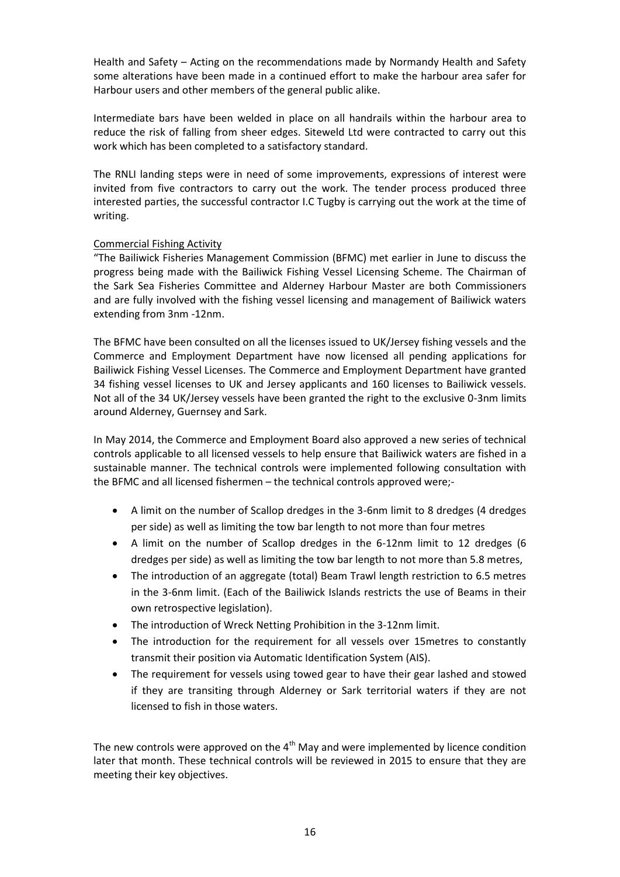Health and Safety – Acting on the recommendations made by Normandy Health and Safety some alterations have been made in a continued effort to make the harbour area safer for Harbour users and other members of the general public alike.

Intermediate bars have been welded in place on all handrails within the harbour area to reduce the risk of falling from sheer edges. Siteweld Ltd were contracted to carry out this work which has been completed to a satisfactory standard.

The RNLI landing steps were in need of some improvements, expressions of interest were invited from five contractors to carry out the work. The tender process produced three interested parties, the successful contractor I.C Tugby is carrying out the work at the time of writing.

# Commercial Fishing Activity

"The Bailiwick Fisheries Management Commission (BFMC) met earlier in June to discuss the progress being made with the Bailiwick Fishing Vessel Licensing Scheme. The Chairman of the Sark Sea Fisheries Committee and Alderney Harbour Master are both Commissioners and are fully involved with the fishing vessel licensing and management of Bailiwick waters extending from 3nm -12nm.

The BFMC have been consulted on all the licenses issued to UK/Jersey fishing vessels and the Commerce and Employment Department have now licensed all pending applications for Bailiwick Fishing Vessel Licenses. The Commerce and Employment Department have granted 34 fishing vessel licenses to UK and Jersey applicants and 160 licenses to Bailiwick vessels. Not all of the 34 UK/Jersey vessels have been granted the right to the exclusive 0-3nm limits around Alderney, Guernsey and Sark.

In May 2014, the Commerce and Employment Board also approved a new series of technical controls applicable to all licensed vessels to help ensure that Bailiwick waters are fished in a sustainable manner. The technical controls were implemented following consultation with the BFMC and all licensed fishermen – the technical controls approved were;-

- A limit on the number of Scallop dredges in the 3-6nm limit to 8 dredges (4 dredges per side) as well as limiting the tow bar length to not more than four metres
- A limit on the number of Scallop dredges in the 6-12nm limit to 12 dredges (6 dredges per side) as well as limiting the tow bar length to not more than 5.8 metres,
- The introduction of an aggregate (total) Beam Trawl length restriction to 6.5 metres in the 3-6nm limit. (Each of the Bailiwick Islands restricts the use of Beams in their own retrospective legislation).
- The introduction of Wreck Netting Prohibition in the 3-12nm limit.
- The introduction for the requirement for all vessels over 15metres to constantly transmit their position via Automatic Identification System (AIS).
- The requirement for vessels using towed gear to have their gear lashed and stowed if they are transiting through Alderney or Sark territorial waters if they are not licensed to fish in those waters.

The new controls were approved on the  $4<sup>th</sup>$  May and were implemented by licence condition later that month. These technical controls will be reviewed in 2015 to ensure that they are meeting their key objectives.